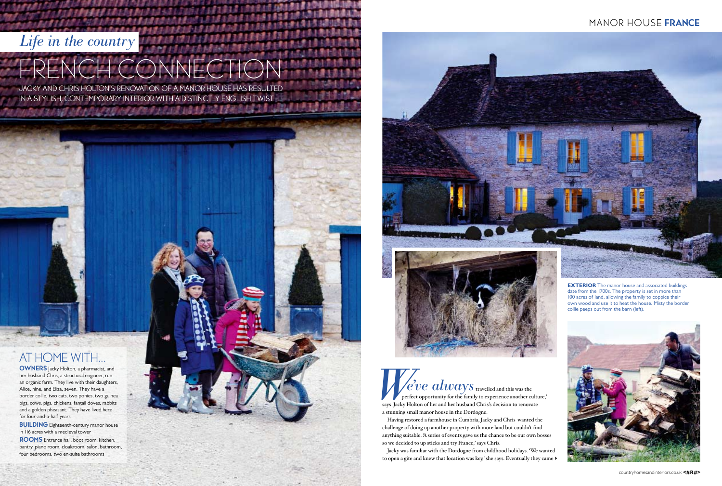**BUILDING** Eighteenth-century manor house in 116 acres with a medieval tower

OWNERS Jacky Holton, a pharmacist, and her husband Chris, a structural engineer, run an organic farm. They live with their daughters, Alice, nine, and Eliza, seven. They have a border collie, two cats, two ponies, two guinea pigs, cows, pigs, chickens, fantail doves, rabbits and a golden pheasant. They have lived here for four-and-a-half years

ROOMS Entrance hall, boot room, kitchen, pantry, piano room, cloakroom, salon, bathroom, four bedrooms, two en-suite bathrooms

Jacky was familiar with the Dordogne from childhood holidays. 'We wanted to open a gîte and knew that location was key,' she says. Eventually they came  $\blacktriangleright$ 

#### MANOR HOUSE FRANCE



## *Life in the country*

# FRENCH CONNECT

 $\blacksquare$   $\blacktriangleright$   $\blacksquare$   $\blacktriangleright$   $\blacksquare$   $\blacktriangleright$   $\blacksquare$   $\blacktriangleright$   $\blacksquare$   $\blacksquare$   $\blacksquare$   $\blacksquare$   $\blacksquare$   $\blacksquare$   $\blacksquare$   $\blacksquare$   $\blacksquare$   $\blacksquare$   $\blacksquare$   $\blacksquare$   $\blacksquare$   $\blacksquare$   $\blacksquare$   $\blacksquare$   $\blacksquare$   $\blacksquare$   $\blacksquare$   $\blacksquare$   $\blacksquare$   $\blacksquare$   $\blacksquare$  perfect opportunity for the family to experience another culture,' says Jacky Holton of her and her husband Chris's decision to renovate a stunning small manor house in the Dordogne. *e*<sup>2</sup><br>says Jacky Hol *'ve always*

JACKY AND CHRIS HOLTON'S RENOVATION OF A MANOR HOUSE HAS RESULTED IN A STYLISH, CONTEMPORARY INTERIOR with a distinctly ENGLISH twist

## AT HOME WITH...

Having restored a farmhouse in Cumbria, Jacky and Chris wanted the challenge of doing up another property with more land but couldn't find anything suitable. 'A series of events gave us the chance to be our own bosses so we decided to up sticks and try France,' says Chris.

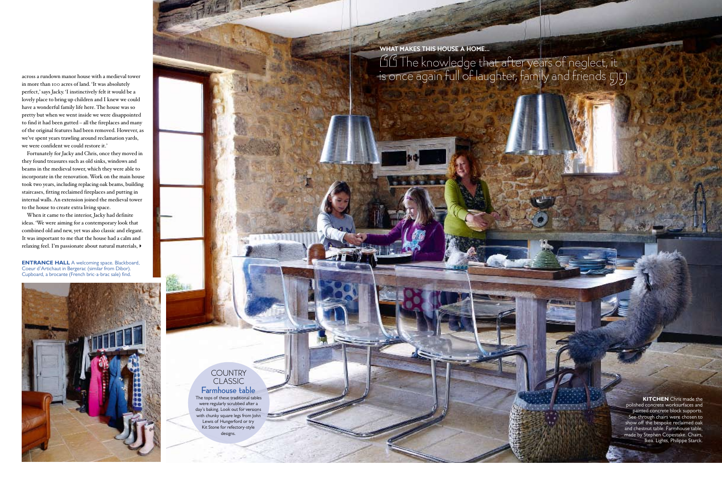Farmhouse table The tops of these traditional tables were regularly scrubbed after a

#### **COUNTRY** classic

 $+11111$ 

day's baking. Look out for versions with chunky square legs from John Lewis of Hungerford or try Kit Stone for refectory-style designs.

**KITCHEN** Chris made the polished concrete worksurfaces and painted concrete block supports. See-through chairs were chosen to show off the bespoke reclaimed oak and chestnut table. Farmhouse table, made by Stephen Copestake. Chairs, Ikea. Lights, Philippe Starck.

across a rundown manor house with a medieval tower in more than 100 acres of land. 'It was absolutely perfect,' says Jacky. 'I instinctively felt it would be a lovely place to bring up children and I knew we could have a wonderful family life here. The house was so pretty but when we went inside we were disappointed to find it had been gutted – all the fireplaces and many of the original features had been removed. However, as we've spent years trawling around reclamation yards, we were confident we could restore it.'

**ENTRANCE HALL** A welcoming space. Blackboard, Coeur d'Artichaut in Bergerac (similar from Dibor). Cupboard, a brocante (French bric-a-brac sale) find.



 $\overline{\phantom{0}}$ III The knowledge that after years of neglect, it is once again full of laughter, family and friends WHAT MAKES THIS HOUSE A HOME...

Fortunately for Jacky and Chris, once they moved in they found treasures such as old sinks, windows and beams in the medieval tower, which they were able to incorporate in the renovation. Work on the main house took two years, including replacing oak beams, building staircases, fitting reclaimed fireplaces and putting in internal walls. An extension joined the medieval tower to the house to create extra living space.

When it came to the interior, Jacky had definite ideas. 'We were aiming for a contemporary look that combined old and new, yet was also classic and elegant. It was important to me that the house had a calm and relaxing feel. I'm passionate about natural materials,4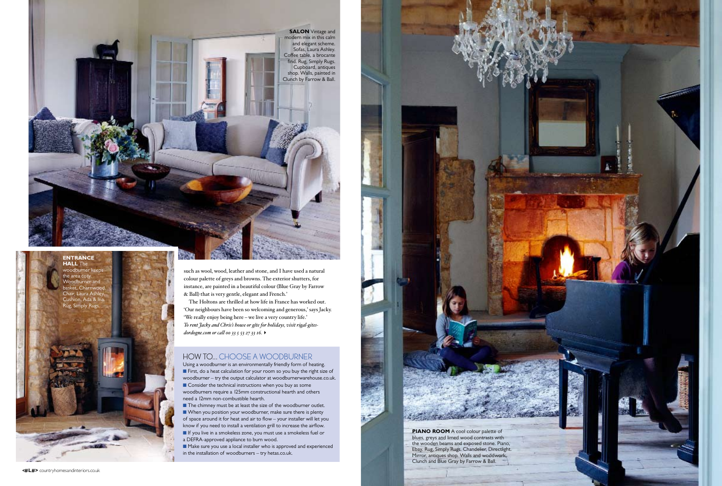#### HOW TO... choose a woodburner

Using a woodburner is an environmentally friendly form of heating. **n** First, do a heat calculation for your room so you buy the right size of woodburner – try the output calculator at woodburnerwarehouse.co.uk.  $\blacksquare$  Consider the technical instructions when you buy as some woodburners require a 125mm constructional hearth and others need a 12mm non-combustible hearth.

**n** The chimney must be at least the size of the woodburner outlet. **N** When you position your woodburner, make sure there is plenty of space around it for heat and air to flow – your installer will let you know if you need to install a ventilation grill to increase the airflow. **n** If you live in a smokeless zone, you must use a smokeless fuel or a DEFRA-approved appliance to burn wood.

**n** Make sure you use a local installer who is approved and experienced in the installation of woodburners – try hetas.co.uk.

**PIANO ROOM** A cool colour palette of blues, greys and limed wood contrasts with the wooden beams and exposed stone. Piano, Ebay. Rug, Simply Rugs. Chandelier, Directlight. Mirror, antiques shop. Walls and woodwork, Clunch and Blue Gray by Farrow & Ball.





**<#L#>** countryhomesandinteriors.co.uk



such as wool, wood, leather and stone, and I have used a natural colour palette of greys and browns. The exterior shutters, for instance, are painted in a beautiful colour (Blue Gray by Farrow & Ball) that is very gentle, elegant and French.'

The Holtons are thrilled at how life in France has worked out. 'Our neighbours have been so welcoming and generous,' says Jacky. 'We really enjoy being here – we live a very country life.' *To rent Jacky and Chris's house or gîte for holidays, visit rigal-gitesdordogne.com or call 00 33 5 53 27 33 16.*4